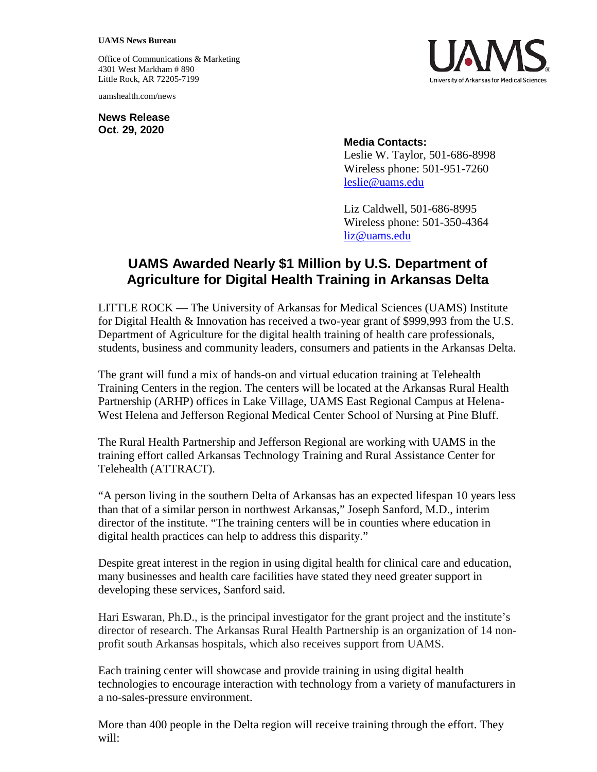## **UAMS News Bureau**

Office of Communications & Marketing 4301 West Markham # 890 Little Rock, AR 72205-7199

uamshealth.com/news

**News Release Oct. 29, 2020**



## **Media Contacts:**

Leslie W. Taylor, 501-686-8998 Wireless phone: 501-951-7260 [leslie@uams.edu](mailto:leslie@uams.edu)

Liz Caldwell, 501-686-8995 Wireless phone: 501-350-4364 [liz@uams.edu](mailto:liz@uams.edu)

## **UAMS Awarded Nearly \$1 Million by U.S. Department of Agriculture for Digital Health Training in Arkansas Delta**

LITTLE ROCK — The University of Arkansas for Medical Sciences (UAMS) Institute for Digital Health & Innovation has received a two-year grant of \$999,993 from the U.S. Department of Agriculture for the digital health training of health care professionals, students, business and community leaders, consumers and patients in the Arkansas Delta.

The grant will fund a mix of hands-on and virtual education training at Telehealth Training Centers in the region. The centers will be located at the Arkansas Rural Health Partnership (ARHP) offices in Lake Village, UAMS East Regional Campus at Helena-West Helena and Jefferson Regional Medical Center School of Nursing at Pine Bluff.

The Rural Health Partnership and Jefferson Regional are working with UAMS in the training effort called Arkansas Technology Training and Rural Assistance Center for Telehealth (ATTRACT).

"A person living in the southern Delta of Arkansas has an expected lifespan 10 years less than that of a similar person in northwest Arkansas," Joseph Sanford, M.D., interim director of the institute. "The training centers will be in counties where education in digital health practices can help to address this disparity."

Despite great interest in the region in using digital health for clinical care and education, many businesses and health care facilities have stated they need greater support in developing these services, Sanford said.

Hari Eswaran, Ph.D., is the principal investigator for the grant project and the institute's director of research. The Arkansas Rural Health Partnership is an organization of 14 nonprofit south Arkansas hospitals, which also receives support from UAMS.

Each training center will showcase and provide training in using digital health technologies to encourage interaction with technology from a variety of manufacturers in a no-sales-pressure environment.

More than 400 people in the Delta region will receive training through the effort. They will: